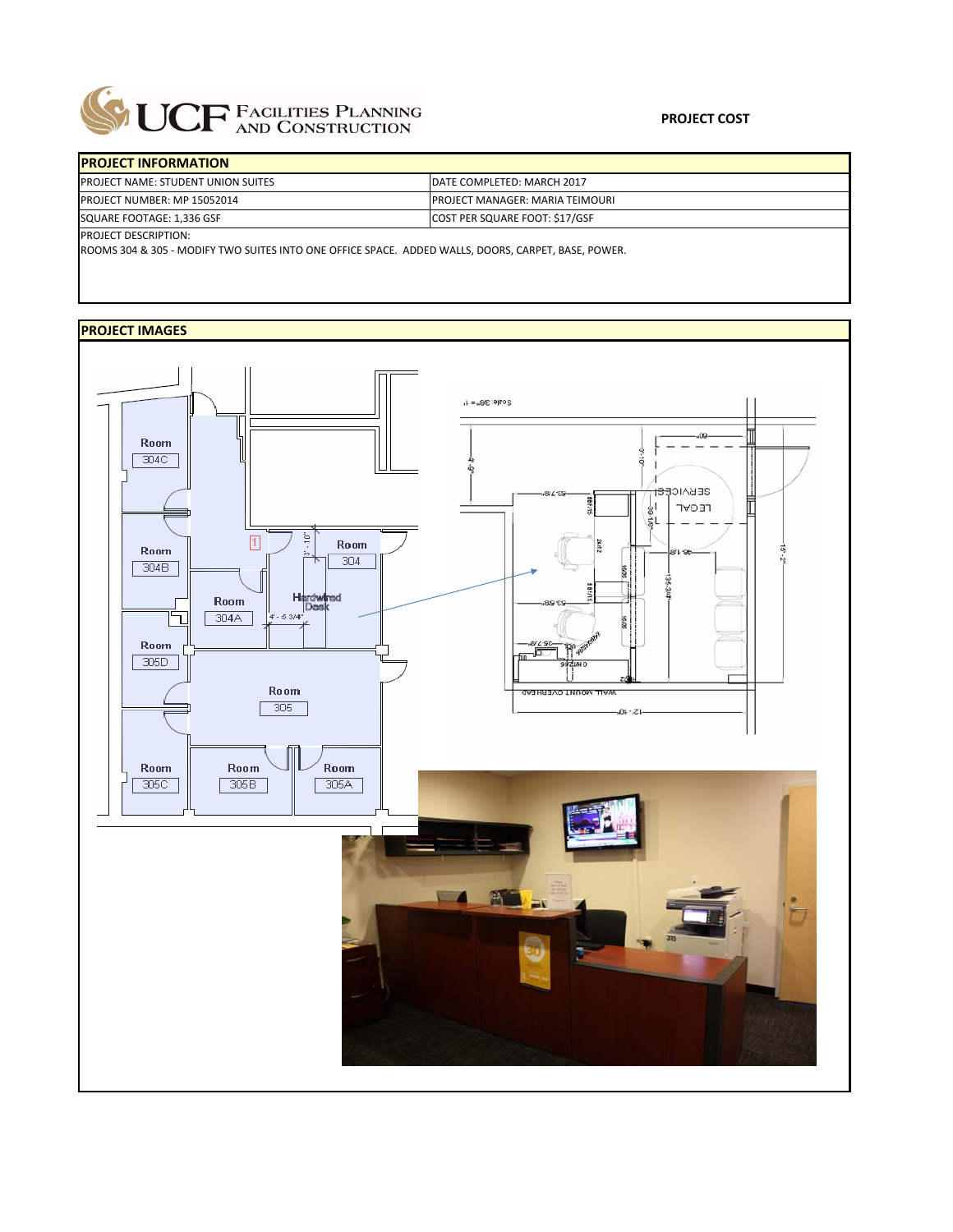

| <b>IPROJECT INFORMATION</b>               |                                         |
|-------------------------------------------|-----------------------------------------|
| <b>PROJECT NAME: STUDENT UNION SUITES</b> | DATE COMPLETED: MARCH 2017              |
| <b>PROJECT NUMBER: MP 15052014</b>        | <b>IPROJECT MANAGER: MARIA TEIMOURI</b> |
| SQUARE FOOTAGE: 1,336 GSF                 | <b>COST PER SQUARE FOOT: \$17/GSF</b>   |
| <b>IDROIECT DESCRIPTION:</b>              |                                         |

ROJECT DESCRIPTION:

ROOMS 304 & 305 ‐ MODIFY TWO SUITES INTO ONE OFFICE SPACE. ADDED WALLS, DOORS, CARPET, BASE, POWER.